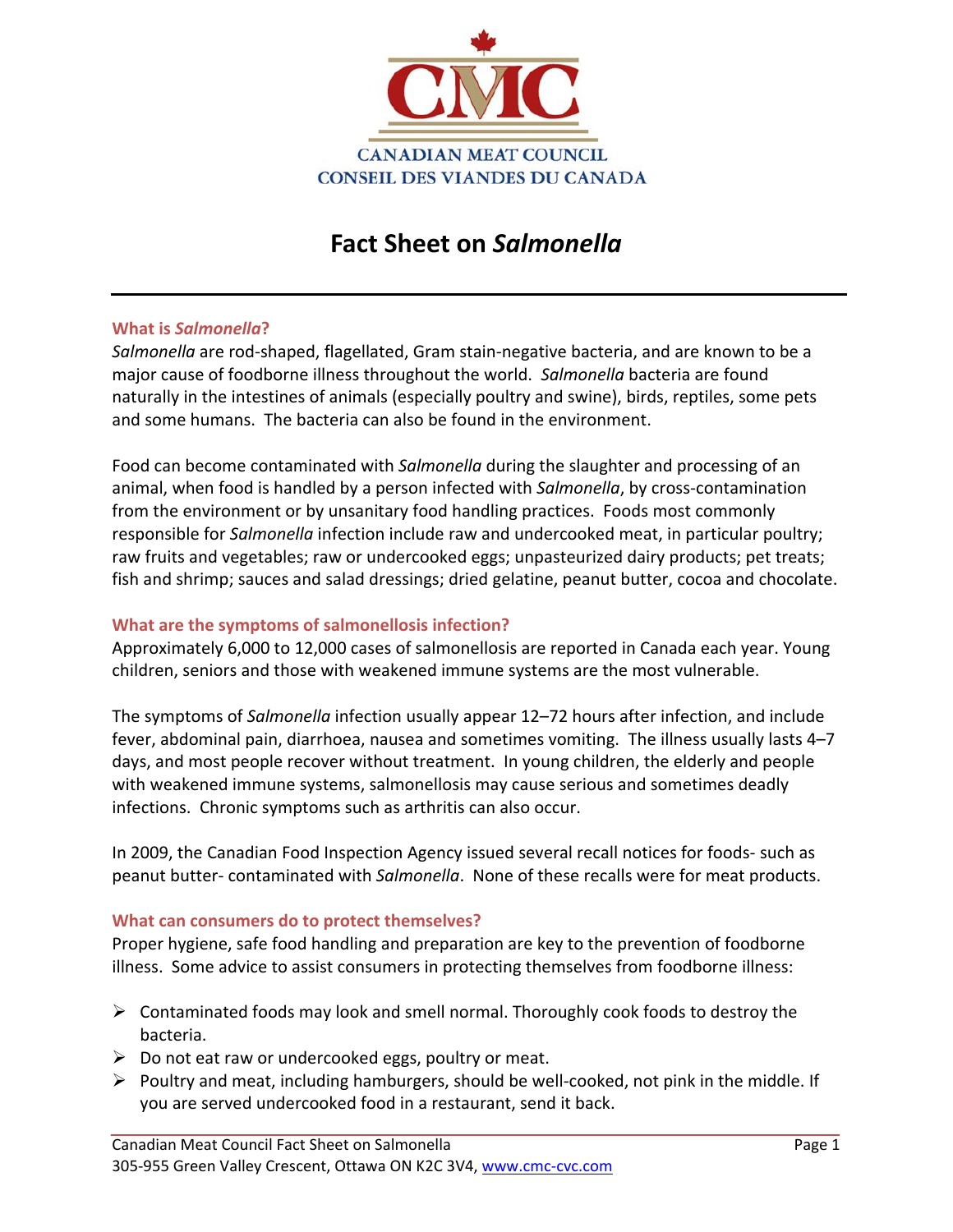

# **Fact Sheet on** *Salmonella*

## **What is** *Salmonella***?**

*Salmonella* are rod‐shaped, flagellated, Gram stain‐negative bacteria, and are known to be a major cause of foodborne illness throughout the world. *Salmonella* bacteria are found naturally in the intestines of animals (especially poultry and swine), birds, reptiles, some pets and some humans. The bacteria can also be found in the environment.

Food can become contaminated with *Salmonella* during the slaughter and processing of an animal, when food is handled by a person infected with *Salmonella*, by cross-contamination from the environment or by unsanitary food handling practices. Foods most commonly responsible for *Salmonella* infection include raw and undercooked meat, in particular poultry; raw fruits and vegetables; raw or undercooked eggs; unpasteurized dairy products; pet treats; fish and shrimp; sauces and salad dressings; dried gelatine, peanut butter, cocoa and chocolate.

## **What are the symptoms of salmonellosis infection?**

Approximately 6,000 to 12,000 cases of salmonellosis are reported in Canada each year. Young children, seniors and those with weakened immune systems are the most vulnerable.

The symptoms of *Salmonella* infection usually appear 12–72 hours after infection, and include fever, abdominal pain, diarrhoea, nausea and sometimes vomiting. The illness usually lasts 4–7 days, and most people recover without treatment. In young children, the elderly and people with weakened immune systems, salmonellosis may cause serious and sometimes deadly infections. Chronic symptoms such as arthritis can also occur.

In 2009, the Canadian Food Inspection Agency issued several recall notices for foods‐ such as peanut butter‐ contaminated with *Salmonella*. None of these recalls were for meat products.

#### **What can consumers do to protect themselves?**

Proper hygiene, safe food handling and preparation are key to the prevention of foodborne illness. Some advice to assist consumers in protecting themselves from foodborne illness:

- ¾ Contaminated foods may look and smell normal. Thoroughly cook foods to destroy the bacteria.
- $\triangleright$  Do not eat raw or undercooked eggs, poultry or meat.
- ¾ Poultry and meat, including hamburgers, should be well‐cooked, not pink in the middle. If you are served undercooked food in a restaurant, send it back.